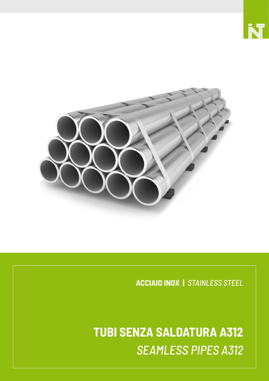

**ACCIAIO INOX |** *STAINLESS STEEL*

**TUBI SENZA SALDATURA A312** *SEAMLESS PIPES A312*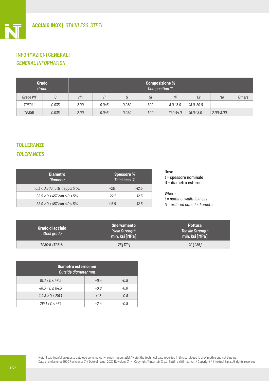# **INFORMAZIONI GENERALI** *GENERAL INFORMATION*

Ī

| <b>Grado</b><br>Grade |       | <b>Composizione %</b><br>Composition % |       |       |      |               |               |               |        |
|-----------------------|-------|----------------------------------------|-------|-------|------|---------------|---------------|---------------|--------|
| Grade WP              | С     | Mn                                     | P     | c     | Si   | Ni            | Cr            | Mo            | Others |
| TP304L                | 0.035 | 2.00                                   | 0.045 | 0.030 | 1.00 | 8.0-13.0      | 18.0-20.0     |               |        |
| TP316L                | 0.035 | 2.00                                   | 0.045 | 0.030 | 1.00 | $10.0 - 14.0$ | $16.0 - 18.0$ | $2.00 - 3.00$ |        |

# **TOLLERANZE**

## *TOLERANCES*

| <b>Diametro</b><br><b>Diameter</b>     | <b>Spessore %</b><br>Thickness % |         |  |  |
|----------------------------------------|----------------------------------|---------|--|--|
| $10.3 < D \le 73$ tutti i rapporti t/D | $+20$                            | $-12.5$ |  |  |
| $88.9 < D \leq 457$ con t/D $\leq 5\%$ | $+22.5$                          | $-12.5$ |  |  |
| $88.9 < D \leq 457$ con t/D $> 5\%$    | $+15.0$                          | $-12.5$ |  |  |

#### Dove t = spessore nominale D = diametro esterno

#### *Where*

*t = nominal wallthickness D = ordered outside diameter*

| Grado di acciaio<br>Steel grade | <b>Snervamento</b><br><b>Yield Strength</b><br>min. ksi [MPa] | <b>Rottura</b><br><b>Tensile Strength</b><br>min. ksi [MPa] |  |  |
|---------------------------------|---------------------------------------------------------------|-------------------------------------------------------------|--|--|
| TP304L/TP316L                   | 25 [170]                                                      | 70 [485]                                                    |  |  |

| Diametro esterno mm<br>Outside diameter mm |        |        |  |  |  |
|--------------------------------------------|--------|--------|--|--|--|
| $10.3 < B \leq 48.3$                       | $+0.4$ | $-0.8$ |  |  |  |
| $48.3 < B \le 114.3$                       | $+0.8$ | $-0.8$ |  |  |  |
| $114.3 < B \le 219.1$                      | $+1.6$ | $-0.8$ |  |  |  |
| $219.1 < D \le 457$                        | +24    | -0.8   |  |  |  |

Nota: i dati tecnici su questo catalogo sono indicativi e non impegnativi / Note: the technical data reported in this catalogue is proximative and not binding. Data di emissione: 2020 Revisione: 01 / Date of issue: 2020 Revision: 01 - Copyright ® Intertubi S.p.a. Tutti i diritti riservati / Copyright ® Intertubi S.p.a. All rights reserved